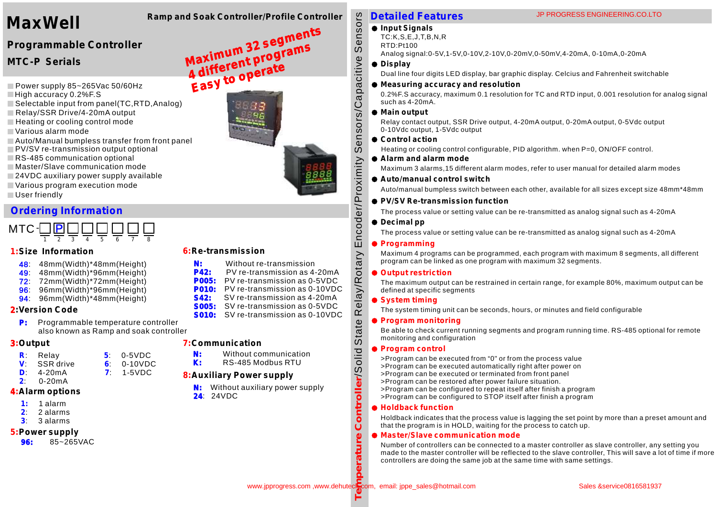# **Ramp and Soak Controller/Profile Controller MaxWell**

# **Programmable Controller**

**MTC-P Serials** 

- Power supply 85~265Vac 50/60Hz
- High accuracy 0.2%F.S
- Selectable input from panel(TC,RTD,Analog)
- Relay/SSR Drive/4-20mA output
- Heating or cooling control mode
- Various alarm mode
- Auto/Manual bumpless transfer from front panel
- **PV/SV re-transmission output optional**
- RS-485 communication optional
- Master/Slave communication mode
- 24VDC auxiliary power supply available
- Various program execution mode
- User friendly

## **Ordering Information**



#### **1:Size Information**

- **48**: 48mm(Width)\*48mm(Height)
- : 48mm(Width)\*96mm(Height) 49
- : 72mm(Width)\*72mm(Height) 72
- : 96mm(Width)\*96mm(Height) 96
- **94** 96mm(Width)\*48mm(Height)

## **2:Version Code**

**P:** Programmable temperature controller also known as Ramp and soak controller

 $7: 1-5VDC$ 

#### **3:Output**

- **R Relay** 5:  $0-5VDC$  $6: 0-10VDC$
- **V**: **SSR** drive<br>**D**: **4-20mA**  $4 - 20mA$
- **2** : 0-20mA
- 

## **4:Alarm options**

- **1:** 1 alarm
- **2** : 2 alarms
- **3** : 3 alarms

## **5:Power supply**

**96:**  85~265VAC

#### **6:Re-transmission**

- **N:**  Without re-transmission
- **P42:**  PV re-transmission as 4-20mA
- **P005:**  PV re-transmission as 0-5VDC
- **P010:** PV re-transmission as 0-10VDC **S42:**  SV re-transmission as 4-20mA
- **S005:**  SV re-transmission as 0-5VDC
- **S010:**  SV re-transmission as 0-10VDC

## **7:Communication**

- Without communication
- RS-485 Modbus RTU

# **8:Auxiliary Power supply**

**N:**  Without auxiliary power supply **24** : 24VDC

# **Detailed Features**

## $\bullet$  Input Signals

- TC:K,S,E,J,T,B,N,R
- RTD:Pt100

Analog signal:0-5V,1-5V,0-10V,2-10V,0-20mV,0-50mV,4-20mA, 0-10mA,0-20mA

#### **Display**

Dual line four digits LED display, bar graphic display. Celcius and Fahrenheit switchable

#### **Measuring accuracy and resolution**

0.2%F.S accuracy, maximum 0.1 resolution for TC and RTD input, 0.001 resolution for analog signal such as 4-20mA.

#### **Main output**

Relay contact output, SSR Drive output, 4-20mA output, 0-20mA output, 0-5Vdc output 0-10Vdc output, 1-5Vdc output

#### **Control action**

Heating or cooling control configurable, PID algorithm. when P=0, ON/OFF control.

#### **Alarm and alarm mode**

Maximum 3 alarms,15 different alarm modes, refer to user manual for detailed alarm modes

#### **Auto/manual control switch**

Auto/manual bumpless switch between each other, available for all sizes except size 48mm\*48mm

#### **PV/SV Re-transmission function**

The process value or setting value can be re-transmitted as analog signal such as 4-20mA

#### **Decimal pp**

The process value or setting value can be re-transmitted as analog signal such as 4-20mA

#### **Programming**

Maximum 4 programs can be programmed, each program with maximum 8 segments, all different program can be linked as one program with maximum 32 segments.

#### **Output restriction**

The maximum output can be restrained in certain range, for example 80%, maximum output can be defined at specific segments

#### **System timing**

The system timing unit can be seconds, hours, or minutes and field configurable

#### **Program monitoring**

Be able to check current running segments and program running time. RS-485 optional for remote monitoring and configuration

#### **Program control**

- >Program can be executed from "0" or from the process value
- >Program can be executed automatically right after power on
- >Program can be executed or terminated from front panel
- >Program can be restored after power failure situation.
- >Program can be configured to repeat itself after finish a program
- >Program can be configured to STOP itself after finish a program

#### **Holdback function**

Holdback indicates that the process value is lagging the set point by more than a preset amount and that the program is in HOLD, waiting for the process to catch up.

#### **Master/Slave communication mode**

Number of controllers can be connected to a master controller as slave controller, any setting you made to the master controller will be reflected to the slave controller, This will save a lot of time if more controllers are doing the same job at the same time with same settings.

**T**

**perature C**

**o**

**ntroller**/S

State I

ela y/R

otary E

ncoder/Pro

ximity S

ensors/C apacitive S

ensors





**Maximum 32 segments**







**N: K:**